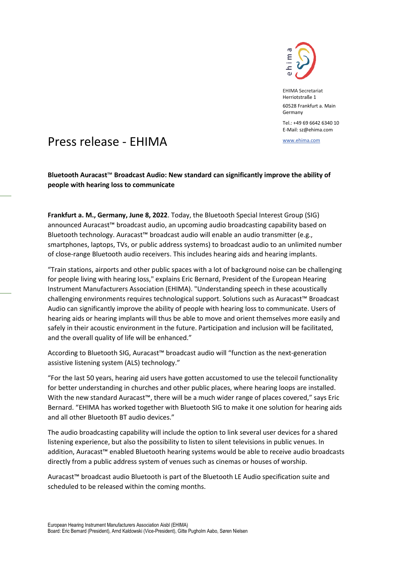

EHIMA Secretariat Herriotstraße 1 60528 Frankfurt a. Main Germany

Tel.: +49 69 6642 6340 10 E-Mail: sz@ehima.com

## www.ehima.com Press release - EHIMA

**Bluetooth Auracast**™ **Broadcast Audio: New standard can significantly improve the ability of people with hearing loss to communicate**

**Frankfurt a. M., Germany, June 8, 2022**. Today, the Bluetooth Special Interest Group (SIG) announced Auracast™ broadcast audio, an upcoming audio broadcasting capability based on Bluetooth technology. Auracast™ broadcast audio will enable an audio transmitter (e.g., smartphones, laptops, TVs, or public address systems) to broadcast audio to an unlimited number of close-range Bluetooth audio receivers. This includes hearing aids and hearing implants.

"Train stations, airports and other public spaces with a lot of background noise can be challenging for people living with hearing loss," explains Eric Bernard, President of the European Hearing Instrument Manufacturers Association (EHIMA). "Understanding speech in these acoustically challenging environments requires technological support. Solutions such as Auracast™ Broadcast Audio can significantly improve the ability of people with hearing loss to communicate. Users of hearing aids or hearing implants will thus be able to move and orient themselves more easily and safely in their acoustic environment in the future. Participation and inclusion will be facilitated, and the overall quality of life will be enhanced."

According to Bluetooth SIG, Auracast™ broadcast audio will "function as the next-generation assistive listening system (ALS) technology."

"For the last 50 years, hearing aid users have gotten accustomed to use the telecoil functionality for better understanding in churches and other public places, where hearing loops are installed. With the new standard Auracast™, there will be a much wider range of places covered," says Eric Bernard. "EHIMA has worked together with Bluetooth SIG to make it one solution for hearing aids and all other Bluetooth BT audio devices."

The audio broadcasting capability will include the option to link several user devices for a shared listening experience, but also the possibility to listen to silent televisions in public venues. In addition, Auracast™ enabled Bluetooth hearing systems would be able to receive audio broadcasts directly from a public address system of venues such as cinemas or houses of worship.

Auracast™ broadcast audio Bluetooth is part of the Bluetooth LE Audio specification suite and scheduled to be released within the coming months.